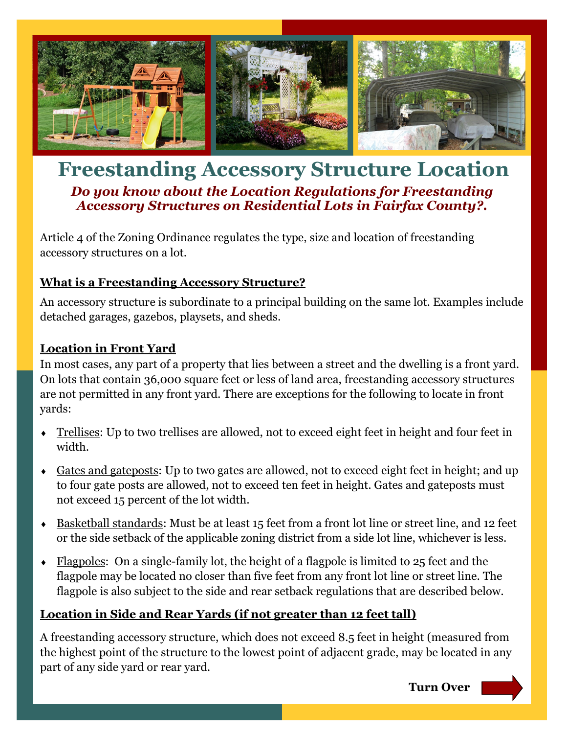

# **Freestanding Accessory Structure Location**  *Do you know about the Location Regulations for Freestanding Accessory Structures on Residential Lots in Fairfax County?.*

Article 4 of the Zoning Ordinance regulates the type, size and location of freestanding accessory structures on a lot.

#### **What is a Freestanding Accessory Structure?**

An accessory structure is subordinate to a principal building on the same lot. Examples include detached garages, gazebos, playsets, and sheds.

#### **Location in Front Yard**

In most cases, any part of a property that lies between a street and the dwelling is a front yard. On lots that contain 36,000 square feet or less of land area, freestanding accessory structures are not permitted in any front yard. There are exceptions for the following to locate in front yards:

- Trellises: Up to two trellises are allowed, not to exceed eight feet in height and four feet in width.
- Gates and gateposts: Up to two gates are allowed, not to exceed eight feet in height; and up to four gate posts are allowed, not to exceed ten feet in height. Gates and gateposts must not exceed 15 percent of the lot width.
- Basketball standards: Must be at least 15 feet from a front lot line or street line, and 12 feet or the side setback of the applicable zoning district from a side lot line, whichever is less.
- $\bullet$  Flagpoles: On a single-family lot, the height of a flagpole is limited to 25 feet and the flagpole may be located no closer than five feet from any front lot line or street line. The flagpole is also subject to the side and rear setback regulations that are described below.

#### **Location in Side and Rear Yards (if not greater than 12 feet tall)**

A freestanding accessory structure, which does not exceed 8.5 feet in height (measured from the highest point of the structure to the lowest point of adjacent grade, may be located in any part of any side yard or rear yard.